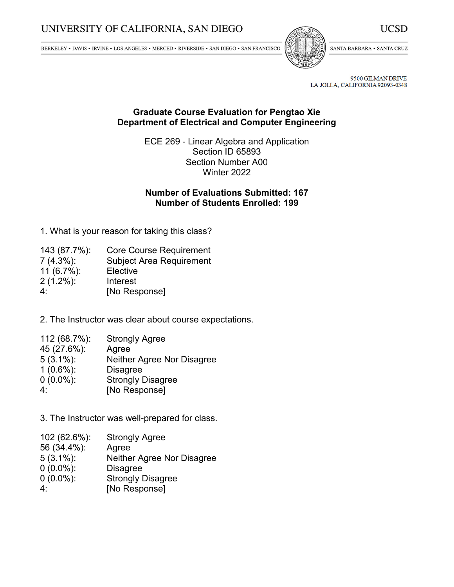$\texttt{BERKELEY}\star\texttt{DAVIS}\star\texttt{IRVINE}\star\texttt{LOS}\,\texttt{ANGELES}\star\texttt{MERCED}\star\texttt{RIVERSIDE}\star\texttt{SAN DIEGO}\star\texttt{SAN FRANCISCO}$ 



SANTA BARBARA . SANTA CRUZ

**UCSD** 

9500 GILMAN DRIVE LA JOLLA, CALIFORNIA 92093-0348

## **Graduate Course Evaluation for Pengtao Xie Department of Electrical and Computer Engineering**

ECE 269 - Linear Algebra and Application Section ID 65893 Section Number A00 Winter 2022

# **Number of Evaluations Submitted: 167 Number of Students Enrolled: 199**

1. What is your reason for taking this class?

| 143 (87.7%):   | <b>Core Course Requirement</b>  |
|----------------|---------------------------------|
| $7(4.3\%)$ :   | <b>Subject Area Requirement</b> |
| 11 $(6.7\%)$ : | Elective                        |
| $2(1.2\%)$ :   | Interest                        |
| 4٠             | [No Response]                   |

2. The Instructor was clear about course expectations.

| 112 (68.7%): | <b>Strongly Agree</b>      |
|--------------|----------------------------|
| 45 (27.6%):  | Agree                      |
| $5(3.1\%)$ : | Neither Agree Nor Disagree |
| $1(0.6\%)$ : | <b>Disagree</b>            |
| $0(0.0\%)$ : | <b>Strongly Disagree</b>   |
| 4٠           | [No Response]              |

3. The Instructor was well-prepared for class.

| 102 (62.6%): | <b>Strongly Agree</b>      |
|--------------|----------------------------|
| 56 (34.4%):  | Agree                      |
| $5(3.1\%)$ : | Neither Agree Nor Disagree |
| $0(0.0\%)$ : | <b>Disagree</b>            |
| $0(0.0\%)$ : | <b>Strongly Disagree</b>   |
| 4٠           | [No Response]              |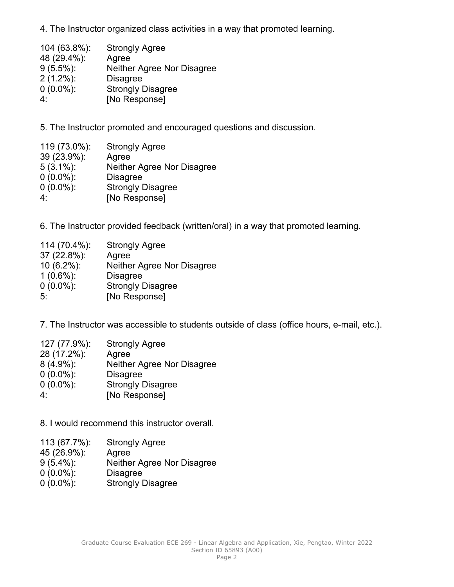4. The Instructor organized class activities in <sup>a</sup> way that promoted learning.

| 104 (63.8%): | <b>Strongly Agree</b>      |
|--------------|----------------------------|
| 48 (29.4%):  | Agree                      |
| $9(5.5\%)$ : | Neither Agree Nor Disagree |
| $2(1.2\%)$ : | <b>Disagree</b>            |
| $0(0.0\%)$ : | <b>Strongly Disagree</b>   |
| 4٠           | [No Response]              |

5. The Instructor promoted and encouraged questions and discussion.

| 119 (73.0%): | <b>Strongly Agree</b>      |
|--------------|----------------------------|
| 39 (23.9%):  | Agree                      |
| $5(3.1\%)$ : | Neither Agree Nor Disagree |
| $0(0.0\%)$ : | <b>Disagree</b>            |
| $0(0.0\%)$ : | <b>Strongly Disagree</b>   |
| 4٠           | [No Response]              |

6. The Instructor provided feedback (written/oral) in <sup>a</sup> way that promoted learning.

| 114 (70.4%):  | <b>Strongly Agree</b>      |
|---------------|----------------------------|
| 37 (22.8%):   | Agree                      |
| $10(6.2\%)$ : | Neither Agree Nor Disagree |
| $1(0.6\%)$ :  | <b>Disagree</b>            |
| $0(0.0\%)$ :  | <b>Strongly Disagree</b>   |
| 5.            | [No Response]              |

7. The Instructor was accessible to students outside of class (office hours, e-mail, etc.).

| 127 (77.9%): | <b>Strongly Agree</b>      |
|--------------|----------------------------|
| 28 (17.2%):  | Agree                      |
| $8(4.9\%)$ : | Neither Agree Nor Disagree |
| $0(0.0\%)$ : | <b>Disagree</b>            |
| $0(0.0\%)$ : | <b>Strongly Disagree</b>   |
| 4۰           | [No Response]              |

8. I would recommend this instructor overall.

- 113 (67.7%): Strongly Agree
- 45 (26.9%): Agree
- 9 (5.4%): Neither Agree Nor Disagree
- 0 (0.0%): Disagree
- 0 (0.0%): Strongly Disagree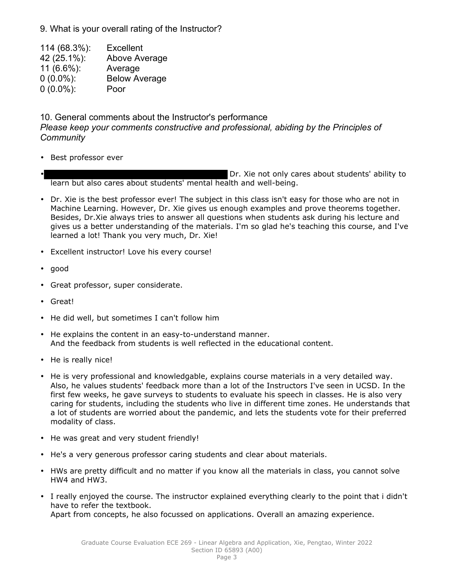9. What is your overall rating of the Instructor?

 (68.3%): Excellent (25.1%): Above Average (6.6%): Average (0.0%): Below Average (0.0%): Poor

10. General comments about the Instructor's performance

*Please keep your comments constructive and professional, abiding by the Principles of Community*

• Best professor ever

Dr. Xie not only cares about students' ability to learn but also cares about students' mental health and well-being.

- Dr. Xie is the best professor ever! The subject in this class isn't easy for those who are not in Machine Learning. However, Dr. Xie gives us enough examples and prove theorems together. Besides, Dr.Xie always tries to answer all questions when students ask during his lecture and gives us <sup>a</sup> better understanding of the materials. I'm so glad he's teaching this course, and I've learned <sup>a</sup> lot! Thank you very much, Dr. Xie!
- •Excellent instructor! Love his every course!
- good
- •Great professor, super considerate.
- Great!
- He did well, but sometimes I can't follow him
- He explains the content in an easy-to-understand manner. And the feedback from students is well reflected in the educational content.
- He is really nice!
- He is very professional and knowledgable, explains course materials in <sup>a</sup> very detailed way. Also, he values students' feedback more than <sup>a</sup> lot of the Instructors I've seen in UCSD. In the first few weeks, he gave surveys to students to evaluate his speech in classes. He is also very caring for students, including the students who live in different time zones. He understands that <sup>a</sup> lot of students are worried about the pandemic, and lets the students vote for their preferred modality of class.
- He was great and very student friendly!
- He's <sup>a</sup> very generous professor caring students and clear about materials.
- HWs are pretty difficult and no matter if you know all the materials in class, you cannot solve HW4 and HW3.
- I really enjoyed the course. The instructor explained everything clearly to the point that i didn't have to refer the textbook. Apart from concepts, he also focussed on applications. Overall an amazing experience.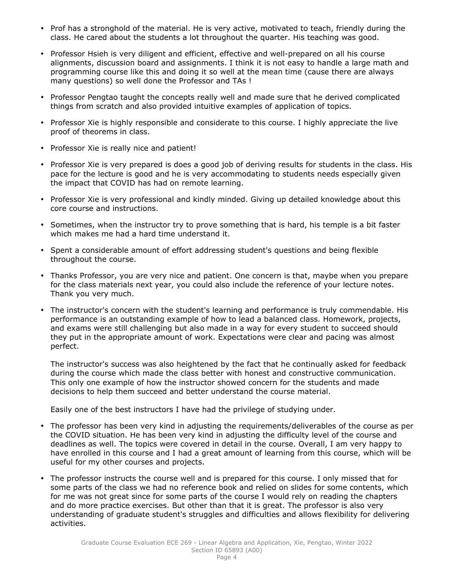- Prof has <sup>a</sup> stronghold of the material. He is very active, motivated to teach, friendly during the class. He cared about the students <sup>a</sup> lot throughout the quarter. His teaching was good.
- Professor Hsieh is very diligent and efficient, effective and well-prepared on all his course alignments, discussion board and assignments. I think it is not easy to handle <sup>a</sup> large math and programming course like this and doing it so well at the mean time (cause there are always many questions) so well done the Professor and TAs !
- Professor Pengtao taught the concepts really well and made sure that he derived complicated things from scratch and also provided intuitive examples of application of topics.
- Professor Xie is highly responsible and considerate to this course. I highly appreciate the live proof of theorems in class.
- Professor Xie is really nice and patient!
- Professor Xie is very prepared is does <sup>a</sup> good job of deriving results for students in the class. His pace for the lecture is good and he is very accommodating to students needs especially given the impact that COVID has had on remote learning.
- Professor Xie is very professional and kindly minded. Giving up detailed knowledge about this core course and instructions.
- Sometimes, when the instructor try to prove something that is hard, his temple is <sup>a</sup> bit faster which makes me had a hard time understand it.
- Spent <sup>a</sup> considerable amount of effort addressing student's questions and being flexible throughout the course.
- Thanks Professor, you are very nice and patient. One concern is that, maybe when you prepare for the class materials next year, you could also include the reference of your lecture notes. Thank you very much.
- The instructor's concern with the student's learning and performance is truly commendable. His performance is an outstanding example of how to lead <sup>a</sup> balanced class. Homework, projects, and exams were still challenging but also made in <sup>a</sup> way for every student to succeed should they put in the appropriate amount of work. Expectations were clear and pacing was almost perfect.

The instructor's success was also heightened by the fact that he continually asked for feedback during the course which made the class better with honest and constructive communication. This only one example of how the instructor showed concern for the students and made decisions to help them succeed and better understand the course material.

Easily one of the best instructors I have had the privilege of studying under.

- The professor has been very kind in adjusting the requirements/deliverables of the course as per the COVID situation. He has been very kind in adjusting the difficulty level of the course and deadlines as well. The topics were covered in detail in the course. Overall, I am very happy to have enrolled in this course and I had <sup>a</sup> great amount of learning from this course, which will be useful for my other courses and projects.
- The professor instructs the course well and is prepared for this course. I only missed that for some parts of the class we had no reference book and relied on slides for some contents, which for me was not great since for some parts of the course I would rely on reading the chapters and do more practice exercises. But other than that it is great. The professor is also very understanding of graduate student's struggles and difficulties and allows flexibility for delivering activities.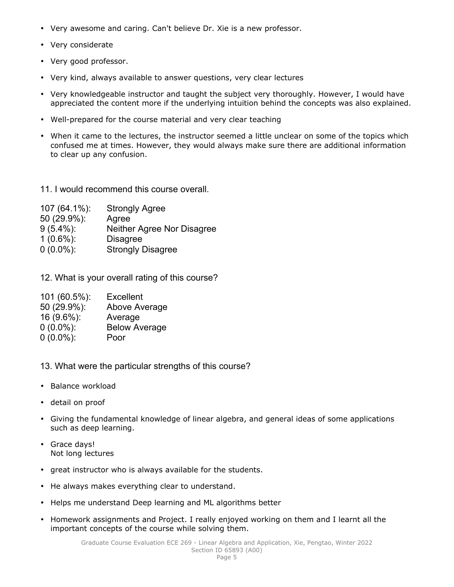- Very awesome and caring. Can't believe Dr. Xie is <sup>a</sup> new professor.
- •Very considerate
- Very good professor.
- Very kind, always available to answer questions, very clear lectures
- Very knowledgeable instructor and taught the subject very thoroughly. However, I would have appreciated the content more if the underlying intuition behind the concepts was also explained.
- Well-prepared for the course material and very clear teaching
- When it came to the lectures, the instructor seemed <sup>a</sup> little unclear on some of the topics which confused me at times. However, they would always make sure there are additional information to clear up any confusion.
- 11. I would recommend this course overall.

| 107 (64.1%): | <b>Strongly Agree</b>      |
|--------------|----------------------------|
| 50 (29.9%):  | Agree                      |
| $9(5.4\%)$ : | Neither Agree Nor Disagree |
| $1(0.6\%)$ : | <b>Disagree</b>            |
| $0(0.0\%)$ : | <b>Strongly Disagree</b>   |

12. What is your overall rating of this course?

| 101 (60.5%): | <b>Excellent</b>     |
|--------------|----------------------|
| 50 (29.9%):  | Above Average        |
| 16 (9.6%):   | Average              |
| $0(0.0\%)$ : | <b>Below Average</b> |
| $0(0.0\%)$ : | Poor                 |

- 13. What were the particular strengths of this course?
- Balance workload
- •detail on proof
- Giving the fundamental knowledge of linear algebra, and general ideas of some applications such as deep learning.
- Grace days! Not long lectures
- great instructor who is always available for the students.
- He always makes everything clear to understand.
- •Helps me understand Deep learning and ML algorithms better
- Homework assignments and Project. I really enjoyed working on them and I learnt all the important concepts of the course while solving them.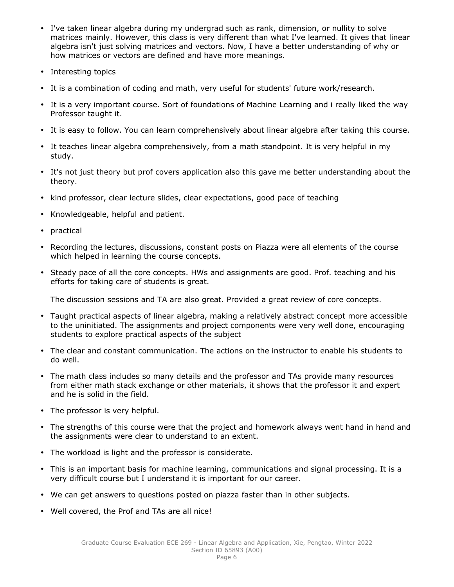- I've taken linear algebra during my undergrad such as rank, dimension, or nullity to solve matrices mainly. However, this class is very different than what I've learned. It gives that linear algebra isn't just solving matrices and vectors. Now, I have <sup>a</sup> better understanding of why or how matrices or vectors are defined and have more meanings.
- •Interesting topics
- •It is <sup>a</sup> combination of coding and math, very useful for students' future work/research.
- It is <sup>a</sup> very important course. Sort of foundations of Machine Learning and i really liked the way Professor taught it.
- It is easy to follow. You can learn comprehensively about linear algebra after taking this course.
- It teaches linear algebra comprehensively, from <sup>a</sup> math standpoint. It is very helpful in my study.
- It's not just theory but prof covers application also this gave me better understanding about the theory.
- •kind professor, clear lecture slides, clear expectations, good pace of teaching
- •Knowledgeable, helpful and patient.
- •practical
- Recording the lectures, discussions, constant posts on Piazza were all elements of the course which helped in learning the course concepts.
- Steady pace of all the core concepts. HWs and assignments are good. Prof. teaching and his efforts for taking care of students is great.

The discussion sessions and TA are also great. Provided <sup>a</sup> great review of core concepts.

- Taught practical aspects of linear algebra, making <sup>a</sup> relatively abstract concept more accessible to the uninitiated. The assignments and project components were very well done, encouraging students to explore practical aspects of the subject
- The clear and constant communication. The actions on the instructor to enable his students to do well.
- The math class includes so many details and the professor and TAs provide many resources from either math stack exchange or other materials, it shows that the professor it and expert and he is solid in the field.
- The professor is very helpful.
- The strengths of this course were that the project and homework always went hand in hand and the assignments were clear to understand to an extent.
- The workload is light and the professor is considerate.
- This is an important basis for machine learning, communications and signal processing. It is <sup>a</sup> very difficult course but I understand it is important for our career.
- •We can get answers to questions posted on piazza faster than in other subjects.
- •Well covered, the Prof and TAs are all nice!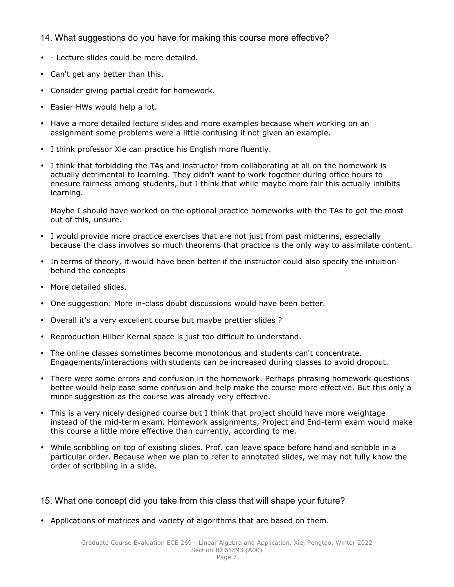### 14. What suggestions do you have for making this course more effective?

- - Lecture slides could be more detailed.
- •Can't get any better than this.
- Consider giving partial credit for homework.
- •Easier HWs would help <sup>a</sup> lot.
- Have <sup>a</sup> more detailed lecture slides and more examples because when working on an assignment some problems were <sup>a</sup> little confusing if not given an example.
- I think professor Xie can practice his English more fluently.
- I think that forbidding the TAs and instructor from collaborating at all on the homework is actually detrimental to learning. They didn't want to work together during office hours to enesure fairness among students, but I think that while maybe more fair this actually inhibits learning.

Maybe I should have worked on the optional practice homeworks with the TAs to get the most out of this, unsure.

- I would provide more practice exercises that are not just from past midterms, especially because the class involves so much theorems that practice is the only way to assimilate content.
- In terms of theory, it would have been better if the instructor could also specify the intuition behind the concepts
- More detailed slides.
- One suggestion: More in-class doubt discussions would have been better.
- Overall it's <sup>a</sup> very excellent course but maybe prettier slides ?
- Reproduction Hilber Kernal space is just too difficult to understand.
- The online classes sometimes become monotonous and students can't concentrate. Engagements/interactions with students can be increased during classes to avoid dropout.
- There were some errors and confusion in the homework. Perhaps phrasing homework questions better would help ease some confusion and help make the course more effective. But this only <sup>a</sup> minor suggestion as the course was already very effective.
- This is <sup>a</sup> very nicely designed course but I think that project should have more weightage instead of the mid-term exam. Homework assignments, Project and End-term exam would make this course <sup>a</sup> little more effective than currently, according to me.
- While scribbling on top of existing slides. Prof. can leave space before hand and scribble in <sup>a</sup> particular order. Because when we plan to refer to annotated slides, we may not fully know the order of scribbling in <sup>a</sup> slide.

#### 15. What one concept did you take from this class that will shape your future?

• Applications of matrices and variety of algorithms that are based on them.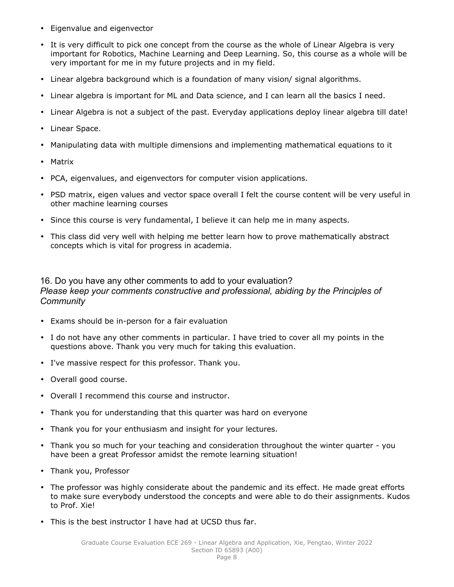- Eigenvalue and eigenvector
- It is very difficult to pick one concept from the course as the whole of Linear Algebra is very important for Robotics, Machine Learning and Deep Learning. So, this course as <sup>a</sup> whole will be very important for me in my future projects and in my field.
- Linear algebra background which is <sup>a</sup> foundation of many vision/ signal algorithms.
- •Linear algebra is important for ML and Data science, and I can learn all the basics I need.
- •Linear Algebra is not <sup>a</sup> subject of the past. Everyday applications deploy linear algebra till date!
- •Linear Space.
- •Manipulating data with multiple dimensions and implementing mathematical equations to it
- Matrix
- PCA, eigenvalues, and eigenvectors for computer vision applications.
- PSD matrix, eigen values and vector space overall I felt the course content will be very useful in other machine learning courses
- Since this course is very fundamental, I believe it can help me in many aspects.
- This class did very well with helping me better learn how to prove mathematically abstract concepts which is vital for progress in academia.

#### 16. Do you have any other comments to add to your evaluation? *Please keep your comments constructive and professional, abiding by the Principles of Community*

- Exams should be in-person for <sup>a</sup> fair evaluation
- I do not have any other comments in particular. I have tried to cover all my points in the questions above. Thank you very much for taking this evaluation.
- I've massive respect for this professor. Thank you.
- Overall good course.
- Overall I recommend this course and instructor.
- •Thank you for understanding that this quarter was hard on everyone
- •Thank you for your enthusiasm and insight for your lectures.
- Thank you so much for your teaching and consideration throughout the winter quarter you have been <sup>a</sup> great Professor amidst the remote learning situation!
- Thank you, Professor
- The professor was highly considerate about the pandemic and its effect. He made great efforts to make sure everybody understood the concepts and were able to do their assignments. Kudos to Prof. Xie!
- This is the best instructor I have had at UCSD thus far.